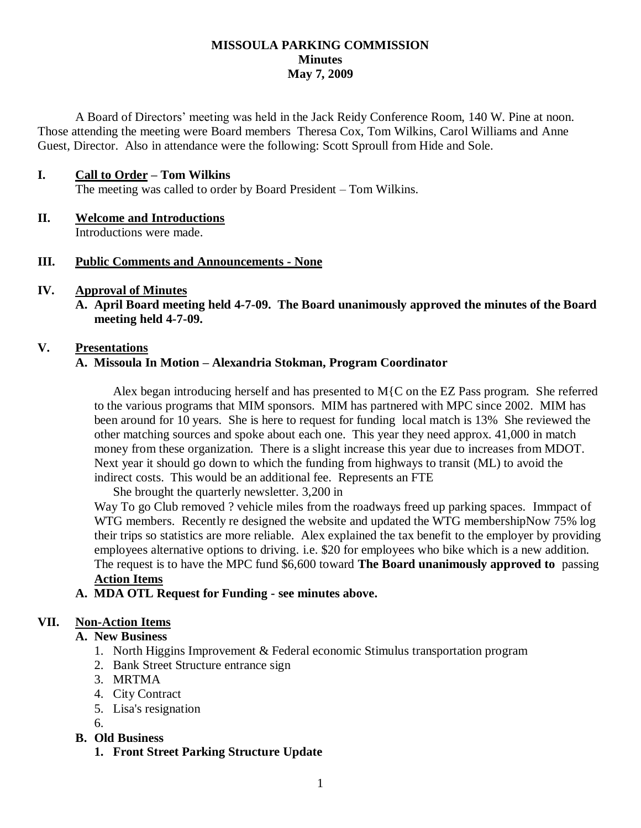### **MISSOULA PARKING COMMISSION Minutes May 7, 2009**

A Board of Directors' meeting was held in the Jack Reidy Conference Room, 140 W. Pine at noon. Those attending the meeting were Board members Theresa Cox, Tom Wilkins, Carol Williams and Anne Guest, Director. Also in attendance were the following: Scott Sproull from Hide and Sole.

### **I. Call to Order – Tom Wilkins**

The meeting was called to order by Board President – Tom Wilkins.

# **II. Welcome and Introductions**

Introductions were made.

### **III. Public Comments and Announcements - None**

### **IV. Approval of Minutes**

**A. April Board meeting held 4-7-09. The Board unanimously approved the minutes of the Board meeting held 4-7-09.**

### **V. Presentations**

### **A. Missoula In Motion – Alexandria Stokman, Program Coordinator**

Alex began introducing herself and has presented to M{C on the EZ Pass program. She referred to the various programs that MIM sponsors. MIM has partnered with MPC since 2002. MIM has been around for 10 years. She is here to request for funding local match is 13% She reviewed the other matching sources and spoke about each one. This year they need approx. 41,000 in match money from these organization. There is a slight increase this year due to increases from MDOT. Next year it should go down to which the funding from highways to transit (ML) to avoid the indirect costs. This would be an additional fee. Represents an FTE

She brought the quarterly newsletter. 3,200 in

Way To go Club removed ? vehicle miles from the roadways freed up parking spaces. Immpact of WTG members. Recently re designed the website and updated the WTG membershipNow 75% log their trips so statistics are more reliable. Alex explained the tax benefit to the employer by providing employees alternative options to driving. i.e. \$20 for employees who bike which is a new addition. The request is to have the MPC fund \$6,600 toward **The Board unanimously approved to** passing **Action Items**

### **A. MDA OTL Request for Funding - see minutes above.**

## **VII. Non-Action Items**

### **A. New Business**

- 1. North Higgins Improvement & Federal economic Stimulus transportation program
- 2. Bank Street Structure entrance sign
- 3. MRTMA
- 4. City Contract
- 5. Lisa's resignation
- 6.

### **B. Old Business**

**1. Front Street Parking Structure Update**